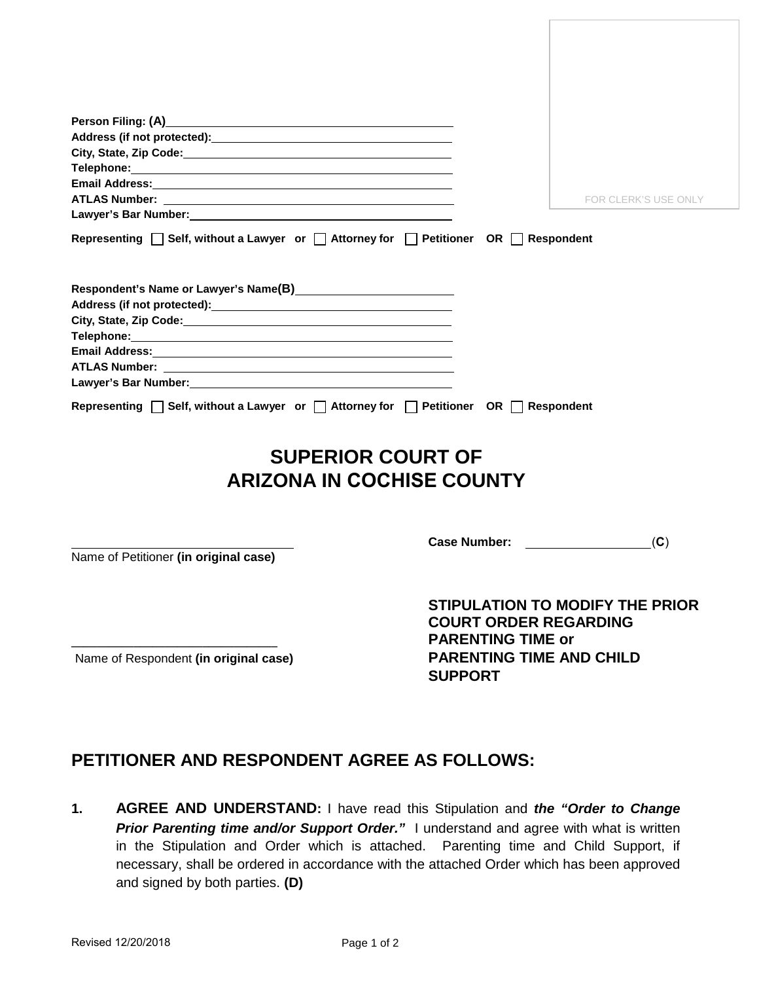| City, State, Zip Code: Manual According to the City, State, Zip Code:                                                                                                                                                         |                     |                      |  |  |
|-------------------------------------------------------------------------------------------------------------------------------------------------------------------------------------------------------------------------------|---------------------|----------------------|--|--|
|                                                                                                                                                                                                                               |                     |                      |  |  |
|                                                                                                                                                                                                                               |                     |                      |  |  |
|                                                                                                                                                                                                                               |                     | FOR CLERK'S USE ONLY |  |  |
| Lawyer's Bar Number: Management Control of the Management Control of the Management Control of the Management Control of the Management Control of the Management Control of the Management Control of the Management Control |                     |                      |  |  |
| Representing □ Self, without a Lawyer or □ Attorney for □ Petitioner OR □ Respondent                                                                                                                                          |                     |                      |  |  |
|                                                                                                                                                                                                                               |                     |                      |  |  |
|                                                                                                                                                                                                                               |                     |                      |  |  |
|                                                                                                                                                                                                                               |                     |                      |  |  |
|                                                                                                                                                                                                                               |                     |                      |  |  |
|                                                                                                                                                                                                                               |                     |                      |  |  |
|                                                                                                                                                                                                                               |                     |                      |  |  |
| Telephone: www.androiden.com/www.androiden.com/www.androiden.com/www.androiden.com/www.androiden.com                                                                                                                          |                     |                      |  |  |
|                                                                                                                                                                                                                               |                     |                      |  |  |
|                                                                                                                                                                                                                               |                     |                      |  |  |
| Lawyer's Bar Number: Management and the state of the state of the state of the state of the state of the state of the state of the state of the state of the state of the state of the state of the state of the state of the |                     |                      |  |  |
| Representing □ Self, without a Lawyer or □ Attorney for □ Petitioner OR □ Respondent                                                                                                                                          |                     |                      |  |  |
|                                                                                                                                                                                                                               |                     |                      |  |  |
|                                                                                                                                                                                                                               |                     |                      |  |  |
| <b>SUPERIOR COURT OF</b>                                                                                                                                                                                                      |                     |                      |  |  |
| <b>ARIZONA IN COCHISE COUNTY</b>                                                                                                                                                                                              |                     |                      |  |  |
|                                                                                                                                                                                                                               |                     |                      |  |  |
|                                                                                                                                                                                                                               |                     |                      |  |  |
|                                                                                                                                                                                                                               |                     |                      |  |  |
|                                                                                                                                                                                                                               | <b>Case Number:</b> | (C)                  |  |  |

Name of Petitioner **(in original case)**

**\_\_\_\_\_\_\_\_\_\_\_\_\_\_\_\_\_\_\_\_\_\_\_\_\_\_\_\_\_\_\_\_\_** Name of Respondent **(in original case)**

**STIPULATION TO MODIFY THE PRIOR COURT ORDER REGARDING PARENTING TIME or PARENTING TIME AND CHILD SUPPORT**

## **PETITIONER AND RESPONDENT AGREE AS FOLLOWS:**

**1. AGREE AND UNDERSTAND:** I have read this Stipulation and *the "Order to Change* **Prior Parenting time and/or Support Order."** I understand and agree with what is written in the Stipulation and Order which is attached. Parenting time and Child Support, if necessary, shall be ordered in accordance with the attached Order which has been approved and signed by both parties. **(D)**